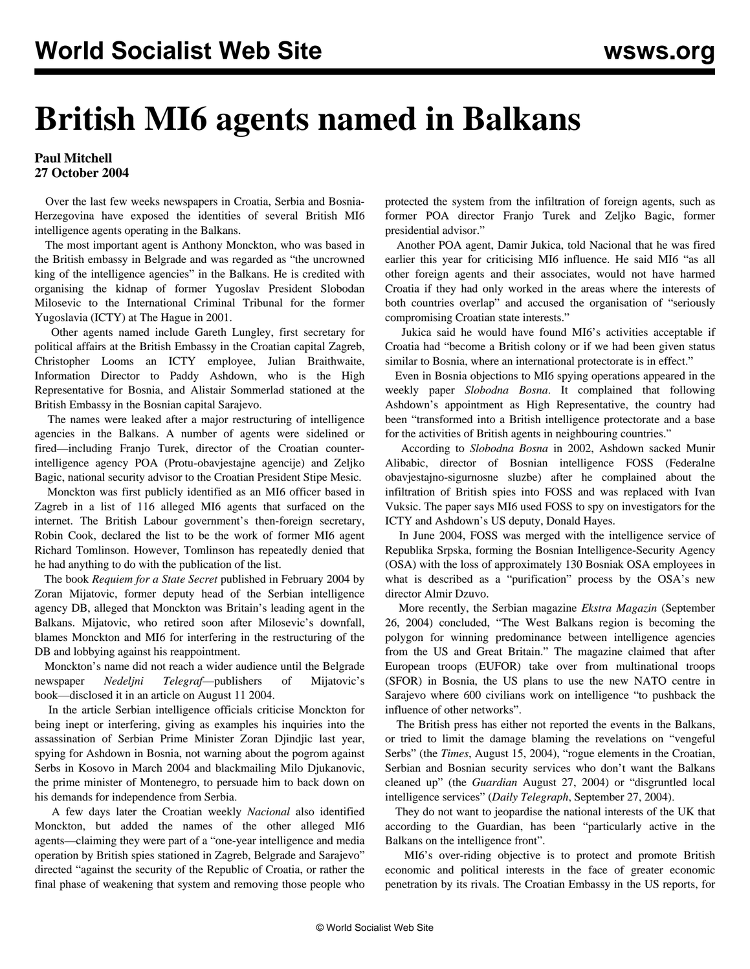## **British MI6 agents named in Balkans**

## **Paul Mitchell 27 October 2004**

 Over the last few weeks newspapers in Croatia, Serbia and Bosnia-Herzegovina have exposed the identities of several British MI6 intelligence agents operating in the Balkans.

 The most important agent is Anthony Monckton, who was based in the British embassy in Belgrade and was regarded as "the uncrowned king of the intelligence agencies" in the Balkans. He is credited with organising the kidnap of former Yugoslav President Slobodan Milosevic to the International Criminal Tribunal for the former Yugoslavia (ICTY) at The Hague in 2001.

 Other agents named include Gareth Lungley, first secretary for political affairs at the British Embassy in the Croatian capital Zagreb, Christopher Looms an ICTY employee, Julian Braithwaite, Information Director to Paddy Ashdown, who is the High Representative for Bosnia, and Alistair Sommerlad stationed at the British Embassy in the Bosnian capital Sarajevo.

 The names were leaked after a major restructuring of intelligence agencies in the Balkans. A number of agents were sidelined or fired—including Franjo Turek, director of the Croatian counterintelligence agency POA (Protu-obavjestajne agencije) and Zeljko Bagic, national security advisor to the Croatian President Stipe Mesic.

 Monckton was first publicly identified as an MI6 officer based in Zagreb in a list of 116 alleged MI6 agents that surfaced on the internet. The British Labour government's then-foreign secretary, Robin Cook, declared the list to be the work of former MI6 agent Richard Tomlinson. However, Tomlinson has repeatedly denied that he had anything to do with the publication of the list.

 The book *Requiem for a State Secret* published in February 2004 by Zoran Mijatovic, former deputy head of the Serbian intelligence agency DB, alleged that Monckton was Britain's leading agent in the Balkans. Mijatovic, who retired soon after Milosevic's downfall, blames Monckton and MI6 for interfering in the restructuring of the DB and lobbying against his reappointment.

 Monckton's name did not reach a wider audience until the Belgrade newspaper *Nedeljni Telegraf*—publishers of Mijatovic's book—disclosed it in an article on August 11 2004.

 In the article Serbian intelligence officials criticise Monckton for being inept or interfering, giving as examples his inquiries into the assassination of Serbian Prime Minister Zoran Djindjic last year, spying for Ashdown in Bosnia, not warning about the pogrom against Serbs in Kosovo in March 2004 and blackmailing Milo Djukanovic, the prime minister of Montenegro, to persuade him to back down on his demands for independence from Serbia.

 A few days later the Croatian weekly *Nacional* also identified Monckton, but added the names of the other alleged MI6 agents—claiming they were part of a "one-year intelligence and media operation by British spies stationed in Zagreb, Belgrade and Sarajevo" directed "against the security of the Republic of Croatia, or rather the final phase of weakening that system and removing those people who protected the system from the infiltration of foreign agents, such as former POA director Franjo Turek and Zeljko Bagic, former presidential advisor."

 Another POA agent, Damir Jukica, told Nacional that he was fired earlier this year for criticising MI6 influence. He said MI6 "as all other foreign agents and their associates, would not have harmed Croatia if they had only worked in the areas where the interests of both countries overlap" and accused the organisation of "seriously compromising Croatian state interests."

 Jukica said he would have found MI6's activities acceptable if Croatia had "become a British colony or if we had been given status similar to Bosnia, where an international protectorate is in effect."

 Even in Bosnia objections to MI6 spying operations appeared in the weekly paper *Slobodna Bosna*. It complained that following Ashdown's appointment as High Representative, the country had been "transformed into a British intelligence protectorate and a base for the activities of British agents in neighbouring countries."

 According to *Slobodna Bosna* in 2002, Ashdown sacked Munir Alibabic, director of Bosnian intelligence FOSS (Federalne obavjestajno-sigurnosne sluzbe) after he complained about the infiltration of British spies into FOSS and was replaced with Ivan Vuksic. The paper says MI6 used FOSS to spy on investigators for the ICTY and Ashdown's US deputy, Donald Hayes.

 In June 2004, FOSS was merged with the intelligence service of Republika Srpska, forming the Bosnian Intelligence-Security Agency (OSA) with the loss of approximately 130 Bosniak OSA employees in what is described as a "purification" process by the OSA's new director Almir Dzuvo.

 More recently, the Serbian magazine *Ekstra Magazin* (September 26, 2004) concluded, "The West Balkans region is becoming the polygon for winning predominance between intelligence agencies from the US and Great Britain." The magazine claimed that after European troops (EUFOR) take over from multinational troops (SFOR) in Bosnia, the US plans to use the new NATO centre in Sarajevo where 600 civilians work on intelligence "to pushback the influence of other networks".

 The British press has either not reported the events in the Balkans, or tried to limit the damage blaming the revelations on "vengeful Serbs" (the *Times*, August 15, 2004), "rogue elements in the Croatian, Serbian and Bosnian security services who don't want the Balkans cleaned up" (the *Guardian* August 27, 2004) or "disgruntled local intelligence services" (*Daily Telegraph*, September 27, 2004).

 They do not want to jeopardise the national interests of the UK that according to the Guardian, has been "particularly active in the Balkans on the intelligence front".

 MI6's over-riding objective is to protect and promote British economic and political interests in the face of greater economic penetration by its rivals. The Croatian Embassy in the US reports, for